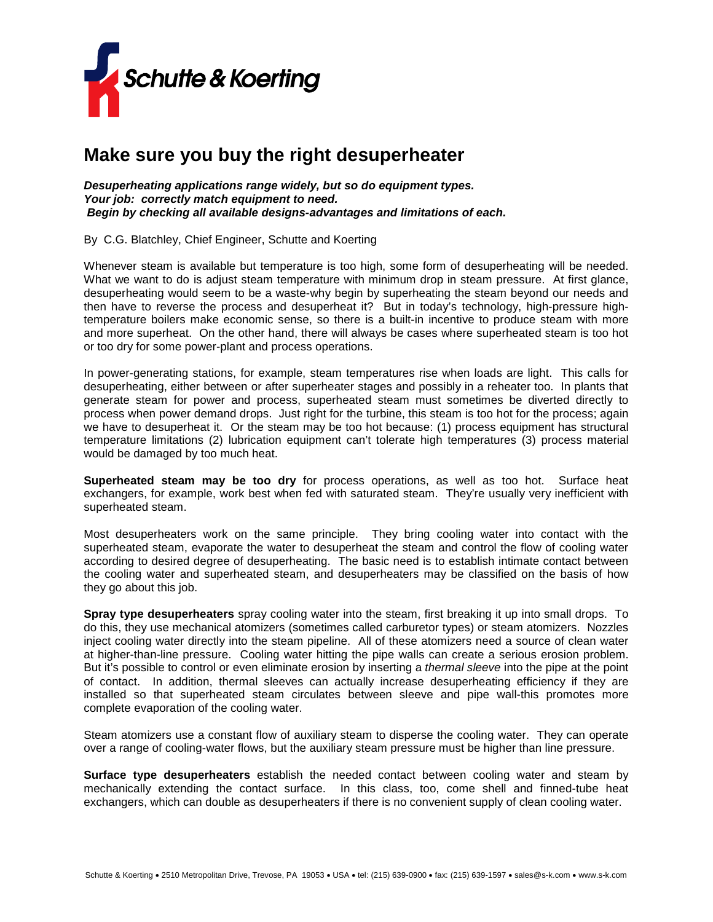

## **Make sure you buy the right desuperheater**

*Desuperheating applications range widely, but so do equipment types. Your job: correctly match equipment to need. Begin by checking all available designs-advantages and limitations of each.*

By C.G. Blatchley, Chief Engineer, Schutte and Koerting

Whenever steam is available but temperature is too high, some form of desuperheating will be needed. What we want to do is adjust steam temperature with minimum drop in steam pressure. At first glance, desuperheating would seem to be a waste-why begin by superheating the steam beyond our needs and then have to reverse the process and desuperheat it? But in today's technology, high-pressure hightemperature boilers make economic sense, so there is a built-in incentive to produce steam with more and more superheat. On the other hand, there will always be cases where superheated steam is too hot or too dry for some power-plant and process operations.

In power-generating stations, for example, steam temperatures rise when loads are light. This calls for desuperheating, either between or after superheater stages and possibly in a reheater too. In plants that generate steam for power and process, superheated steam must sometimes be diverted directly to process when power demand drops. Just right for the turbine, this steam is too hot for the process; again we have to desuperheat it. Or the steam may be too hot because: (1) process equipment has structural temperature limitations (2) lubrication equipment can't tolerate high temperatures (3) process material would be damaged by too much heat.

**Superheated steam may be too dry** for process operations, as well as too hot. Surface heat exchangers, for example, work best when fed with saturated steam. They're usually very inefficient with superheated steam.

Most desuperheaters work on the same principle. They bring cooling water into contact with the superheated steam, evaporate the water to desuperheat the steam and control the flow of cooling water according to desired degree of desuperheating. The basic need is to establish intimate contact between the cooling water and superheated steam, and desuperheaters may be classified on the basis of how they go about this job.

**Spray type desuperheaters** spray cooling water into the steam, first breaking it up into small drops. To do this, they use mechanical atomizers (sometimes called carburetor types) or steam atomizers. Nozzles inject cooling water directly into the steam pipeline. All of these atomizers need a source of clean water at higher-than-line pressure. Cooling water hitting the pipe walls can create a serious erosion problem. But it's possible to control or even eliminate erosion by inserting a *thermal sleeve* into the pipe at the point of contact. In addition, thermal sleeves can actually increase desuperheating efficiency if they are installed so that superheated steam circulates between sleeve and pipe wall-this promotes more complete evaporation of the cooling water.

Steam atomizers use a constant flow of auxiliary steam to disperse the cooling water. They can operate over a range of cooling-water flows, but the auxiliary steam pressure must be higher than line pressure.

**Surface type desuperheaters** establish the needed contact between cooling water and steam by mechanically extending the contact surface. In this class, too, come shell and finned-tube heat exchangers, which can double as desuperheaters if there is no convenient supply of clean cooling water.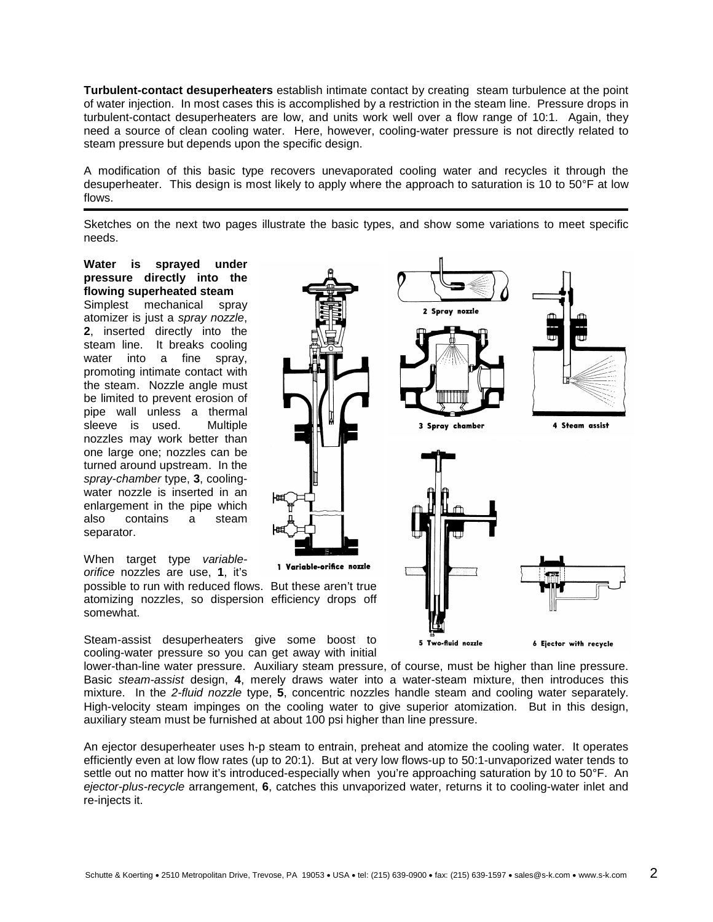**Turbulent-contact desuperheaters** establish intimate contact by creating steam turbulence at the point of water injection. In most cases this is accomplished by a restriction in the steam line. Pressure drops in turbulent-contact desuperheaters are low, and units work well over a flow range of 10:1. Again, they need a source of clean cooling water. Here, however, cooling-water pressure is not directly related to steam pressure but depends upon the specific design.

A modification of this basic type recovers unevaporated cooling water and recycles it through the desuperheater. This design is most likely to apply where the approach to saturation is 10 to 50°F at low flows.

Sketches on the next two pages illustrate the basic types, and show some variations to meet specific needs.

## **Water is sprayed under pressure directly into the flowing superheated steam**

Simplest mechanical spray atomizer is just a *spray nozzle*, **2**, inserted directly into the steam line. It breaks cooling water into a fine spray, promoting intimate contact with the steam. Nozzle angle must be limited to prevent erosion of pipe wall unless a thermal sleeve is used. Multiple nozzles may work better than one large one; nozzles can be turned around upstream. In the *spray-chamber* type, **3**, coolingwater nozzle is inserted in an enlargement in the pipe which also contains a steam separator.

When target type *variableorifice* nozzles are use, **1**, it's

possible to run with reduced flows. But these aren't true atomizing nozzles, so dispersion efficiency drops off somewhat.

Steam-assist desuperheaters give some boost to cooling-water pressure so you can get away with initial



lower-than-line water pressure. Auxiliary steam pressure, of course, must be higher than line pressure. Basic *steam-assist* design, **4**, merely draws water into a water-steam mixture, then introduces this mixture. In the *2-fluid nozzle* type, **5**, concentric nozzles handle steam and cooling water separately. High-velocity steam impinges on the cooling water to give superior atomization. But in this design, auxiliary steam must be furnished at about 100 psi higher than line pressure.

An ejector desuperheater uses h-p steam to entrain, preheat and atomize the cooling water. It operates efficiently even at low flow rates (up to 20:1). But at very low flows-up to 50:1-unvaporized water tends to settle out no matter how it's introduced-especially when you're approaching saturation by 10 to 50°F. An *ejector-plus-recycle* arrangement, **6**, catches this unvaporized water, returns it to cooling-water inlet and re-injects it.